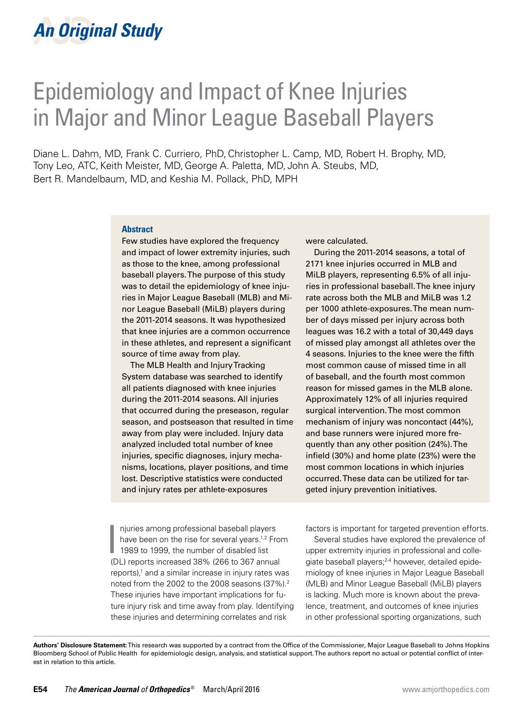# Epidemiology and Impact of Knee Injuries in Major and Minor League Baseball Players

Diane L. Dahm, MD, Frank C. Curriero, PhD,Christopher L. Camp, MD, Robert H. Brophy, MD, Tony Leo, ATC,Keith Meister, MD, George A. Paletta, MD, John A. Steubs, MD, Bert R. Mandelbaum, MD, and Keshia M. Pollack, PhD, MPH

#### **Abstract**

Few studies have explored the frequency and impact of lower extremity injuries, such as those to the knee, among professional baseball players. The purpose of this study was to detail the epidemiology of knee injuries in Major League Baseball (MLB) and Minor League Baseball (MiLB) players during the 2011-2014 seasons. It was hypothesized that knee injuries are a common occurrence in these athletes, and represent a significant source of time away from play.

The MLB Health and Injury Tracking System database was searched to identify all patients diagnosed with knee injuries during the 2011-2014 seasons. All injuries that occurred during the preseason, regular season, and postseason that resulted in time away from play were included. Injury data analyzed included total number of knee injuries, specific diagnoses, injury mechanisms, locations, player positions, and time lost. Descriptive statistics were conducted and injury rates per athlete-exposures

were calculated.

During the 2011-2014 seasons, a total of 2171 knee injuries occurred in MLB and MiLB players, representing 6.5% of all injuries in professional baseball. The knee injury rate across both the MLB and MiLB was 1.2 per 1000 athlete-exposures. The mean number of days missed per injury across both leagues was 16.2 with a total of 30,449 days of missed play amongst all athletes over the 4 seasons. Injuries to the knee were the fifth most common cause of missed time in all of baseball, and the fourth most common reason for missed games in the MLB alone. Approximately 12% of all injuries required surgical intervention. The most common mechanism of injury was noncontact (44%), and base runners were injured more frequently than any other position (24%). The infield (30%) and home plate (23%) were the most common locations in which injuries occurred. These data can be utilized for targeted injury prevention initiatives.

njuries among professional baseball player<br>have been on the rise for several years.<sup>1,2</sup><br>1989 to 1999, the number of disabled list<br>(2) separate increased 20% (26 to 267 april) njuries among professional baseball players have been on the rise for several years.<sup>1,2</sup> From (DL) reports increased 38% (266 to 367 annual reports),1 and a similar increase in injury rates was noted from the 2002 to the 2008 seasons (37%).2 These injuries have important implications for future injury risk and time away from play. Identifying these injuries and determining correlates and risk

factors is important for targeted prevention efforts.

Several studies have explored the prevalence of upper extremity injuries in professional and collegiate baseball players;<sup>2-4</sup> however, detailed epidemiology of knee injuries in Major League Baseball (MLB) and Minor League Baseball (MiLB) players is lacking. Much more is known about the prevalence, treatment, and outcomes of knee injuries in other professional sporting organizations, such

**Authors' Disclosure Statement:** This research was supported by a contract from the Office of the Commissioner, Major League Baseball to Johns Hopkins Bloomberg School of Public Health for epidemiologic design, analysis, and statistical support. The authors report no actual or potential conflict of interest in relation to this article.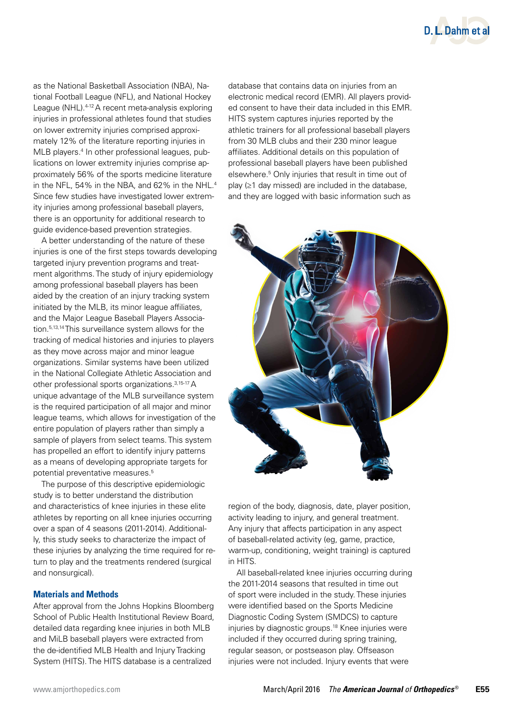

as the National Basketball Association (NBA), National Football League (NFL), and National Hockey League (NHL).<sup>4-12</sup> A recent meta-analysis exploring injuries in professional athletes found that studies on lower extremity injuries comprised approximately 12% of the literature reporting injuries in MLB players.<sup>4</sup> In other professional leagues, publications on lower extremity injuries comprise approximately 56% of the sports medicine literature in the NFL, 54% in the NBA, and 62% in the NHL.<sup>4</sup> Since few studies have investigated lower extremity injuries among professional baseball players, there is an opportunity for additional research to guide evidence-based prevention strategies.

A better understanding of the nature of these injuries is one of the first steps towards developing targeted injury prevention programs and treatment algorithms. The study of injury epidemiology among professional baseball players has been aided by the creation of an injury tracking system initiated by the MLB, its minor league affiliates, and the Major League Baseball Players Association.5,13,14 This surveillance system allows for the tracking of medical histories and injuries to players as they move across major and minor league organizations. Similar systems have been utilized in the National Collegiate Athletic Association and other professional sports organizations.3,15-17 A unique advantage of the MLB surveillance system is the required participation of all major and minor league teams, which allows for investigation of the entire population of players rather than simply a sample of players from select teams. This system has propelled an effort to identify injury patterns as a means of developing appropriate targets for potential preventative measures.5

The purpose of this descriptive epidemiologic study is to better understand the distribution and characteristics of knee injuries in these elite athletes by reporting on all knee injuries occurring over a span of 4 seasons (2011-2014). Additionally, this study seeks to characterize the impact of these injuries by analyzing the time required for return to play and the treatments rendered (surgical and nonsurgical).

### **Materials and Methods**

After approval from the Johns Hopkins Bloomberg School of Public Health Institutional Review Board, detailed data regarding knee injuries in both MLB and MiLB baseball players were extracted from the de-identified MLB Health and Injury Tracking System (HITS). The HITS database is a centralized

database that contains data on injuries from an electronic medical record (EMR). All players provided consent to have their data included in this EMR. HITS system captures injuries reported by the athletic trainers for all professional baseball players from 30 MLB clubs and their 230 minor league affiliates. Additional details on this population of professional baseball players have been published elsewhere.5 Only injuries that result in time out of play  $(≥1$  day missed) are included in the database, and they are logged with basic information such as



region of the body, diagnosis, date, player position, activity leading to injury, and general treatment. Any injury that affects participation in any aspect of baseball-related activity (eg, game, practice, warm-up, conditioning, weight training) is captured in HITS.

All baseball-related knee injuries occurring during the 2011-2014 seasons that resulted in time out of sport were included in the study. These injuries were identified based on the Sports Medicine Diagnostic Coding System (SMDCS) to capture injuries by diagnostic groups.18 Knee injuries were included if they occurred during spring training, regular season, or postseason play. Offseason injuries were not included. Injury events that were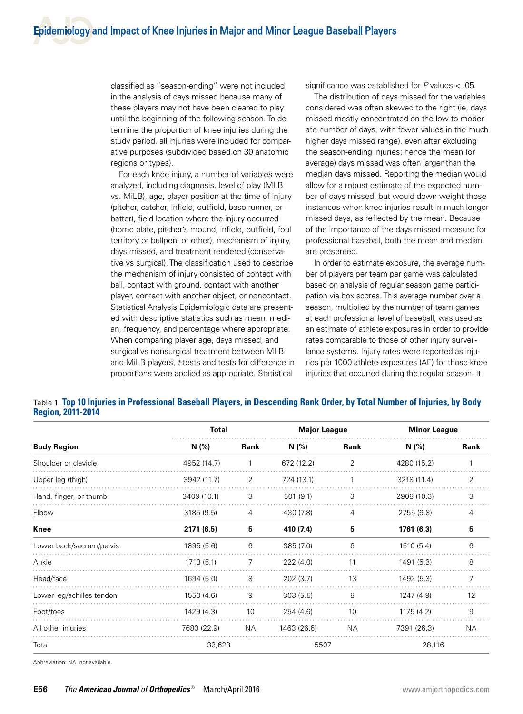classified as "season-ending" were not included in the analysis of days missed because many of these players may not have been cleared to play until the beginning of the following season. To determine the proportion of knee injuries during the study period, all injuries were included for comparative purposes (subdivided based on 30 anatomic regions or types).

For each knee injury, a number of variables were analyzed, including diagnosis, level of play (MLB vs. MiLB), age, player position at the time of injury (pitcher, catcher, infield, outfield, base runner, or batter), field location where the injury occurred (home plate, pitcher's mound, infield, outfield, foul territory or bullpen, or other), mechanism of injury, days missed, and treatment rendered (conservative vs surgical). The classification used to describe the mechanism of injury consisted of contact with ball, contact with ground, contact with another player, contact with another object, or noncontact. Statistical Analysis Epidemiologic data are presented with descriptive statistics such as mean, median, frequency, and percentage where appropriate. When comparing player age, days missed, and surgical vs nonsurgical treatment between MLB and MiLB players, *t*-tests and tests for difference in proportions were applied as appropriate. Statistical

significance was established for *P* values < .05.

The distribution of days missed for the variables considered was often skewed to the right (ie, days missed mostly concentrated on the low to moderate number of days, with fewer values in the much higher days missed range), even after excluding the season-ending injuries; hence the mean (or average) days missed was often larger than the median days missed. Reporting the median would allow for a robust estimate of the expected number of days missed, but would down weight those instances when knee injuries result in much longer missed days, as reflected by the mean. Because of the importance of the days missed measure for professional baseball, both the mean and median are presented.

In order to estimate exposure, the average number of players per team per game was calculated based on analysis of regular season game participation via box scores. This average number over a season, multiplied by the number of team games at each professional level of baseball, was used as an estimate of athlete exposures in order to provide rates comparable to those of other injury surveillance systems. Injury rates were reported as injuries per 1000 athlete-exposures (AE) for those knee injuries that occurred during the regular season. It

| <b>Region, 2011-2014</b>  |              |      |                     |      |                     |      |
|---------------------------|--------------|------|---------------------|------|---------------------|------|
|                           | <b>Total</b> |      | <b>Major League</b> |      | <b>Minor League</b> |      |
| <b>Body Region</b>        | N(%)         | Rank | N(% )               | Rank | N (%)               | Rank |
| Shoulder or clavicle      | 4952 (14.7)  |      | 672 (12.2)          | 2    | 4280 (15.2)         |      |
| Upper leg (thigh)         | 3942 (11.7)  | 2    | 724 (13.1)          |      | 3218 (11.4)         | 2    |
| Hand, finger, or thumb    | 3409 (10.1)  | 3    | 501(9.1)            | 3    | 2908 (10.3)         | 3    |
| Elbow                     | 3185(9.5)    | 4    | 430 (7.8)           | 4    | 2755 (9.8)          | 4    |
| Knee                      | 2171 (6.5)   | 5    | 410 (7.4)           | 5    | 1761 (6.3)          | 5    |
| Lower back/sacrum/pelvis  | 1895 (5.6)   | 6    | 385(7.0)            | 6    | 1510 (5.4)          | 6    |
| Ankle                     | 1713 (5.1)   | 7    | 222(4.0)            | 11   | 1491 (5.3)          | 8    |
| Head/face                 | 1694 (5.0)   | 8    | 202(3.7)            | 13   | 1492 (5.3)          | 7    |
| Lower leg/achilles tendon | 1550 (4.6)   | 9    | 303(5.5)            | 8    | 1247 (4.9)          | 12   |
| Foot/toes                 | 1429 (4.3)   | 10   | 254 (4.6)           | 10   | 1175 (4.2)          | 9    |
| All other injuries        | 7683 (22.9)  | NА   | 1463 (26.6)         | NА   | 7391 (26.3)         | NА   |

Total 33,623 5507 28,116

# Table 1. **Top 10 Injuries in Professional Baseball Players, in Descending Rank Order, by Total Number of Injuries, by Body**

Abbreviation: NA, not available.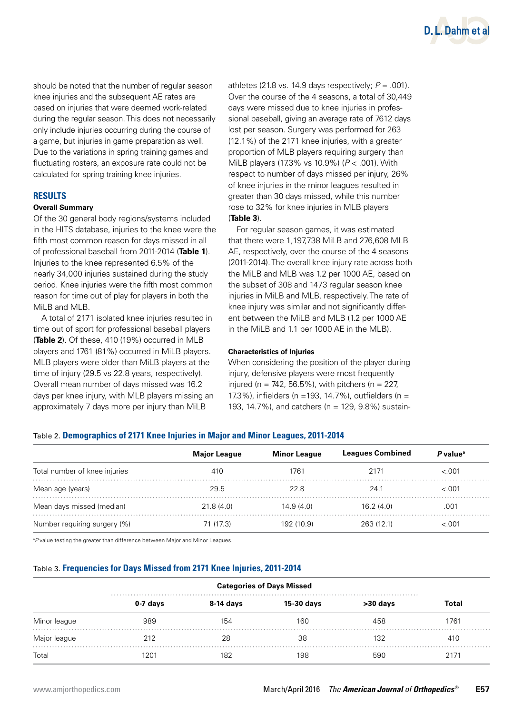

should be noted that the number of regular season knee injuries and the subsequent AE rates are based on injuries that were deemed work-related during the regular season. This does not necessarily only include injuries occurring during the course of a game, but injuries in game preparation as well. Due to the variations in spring training games and fluctuating rosters, an exposure rate could not be calculated for spring training knee injuries.

# **RESULTS**

### **Overall Summary**

Of the 30 general body regions/systems included in the HITS database, injuries to the knee were the fifth most common reason for days missed in all of professional baseball from 2011-2014 (**Table 1**). Injuries to the knee represented 6.5% of the nearly 34,000 injuries sustained during the study period. Knee injuries were the fifth most common reason for time out of play for players in both the MiLB and MLB.

A total of 2171 isolated knee injuries resulted in time out of sport for professional baseball players (**Table 2**). Of these, 410 (19%) occurred in MLB players and 1761 (81%) occurred in MiLB players. MLB players were older than MiLB players at the time of injury (29.5 vs 22.8 years, respectively). Overall mean number of days missed was 16.2 days per knee injury, with MLB players missing an approximately 7 days more per injury than MiLB

athletes (21.8 vs. 14.9 days respectively;  $P = .001$ ). Over the course of the 4 seasons, a total of 30,449 days were missed due to knee injuries in professional baseball, giving an average rate of 7612 days lost per season. Surgery was performed for 263 (12.1%) of the 2171 knee injuries, with a greater proportion of MLB players requiring surgery than MiLB players (17.3% vs 10.9%) (*P* < .001). With respect to number of days missed per injury, 26% of knee injuries in the minor leagues resulted in greater than 30 days missed, while this number rose to 32% for knee injuries in MLB players (**Table 3**).

For regular season games, it was estimated that there were 1,197,738 MiLB and 276,608 MLB AE, respectively, over the course of the 4 seasons (2011-2014). The overall knee injury rate across both the MiLB and MLB was 1.2 per 1000 AE, based on the subset of 308 and 1473 regular season knee injuries in MiLB and MLB, respectively. The rate of knee injury was similar and not significantly different between the MiLB and MLB (1.2 per 1000 AE in the MiLB and 1.1 per 1000 AE in the MLB).

#### **Characteristics of Injuries**

When considering the position of the player during injury, defensive players were most frequently injured (n = 742, 56.5%), with pitchers (n = 227, 17.3%), infielders (n =193, 14.7%), outfielders (n = 193, 14.7%), and catchers (n = 129, 9.8%) sustain-

#### Table 2. **Demographics of 2171 Knee Injuries in Major and Minor Leagues, 2011-2014**

|                               | <b>Major League</b> | <b>Minor League</b> | <b>Leagues Combined</b> | P value <sup>a</sup> |
|-------------------------------|---------------------|---------------------|-------------------------|----------------------|
| Total number of knee injuries | 410                 | 1761                | 2171                    | $-.001$              |
| Mean age (years)              | 29.5                | 22.8                | 24.1                    | < 0.01               |
| Mean days missed (median)     | 21.8(4.0)           | 14.9 (4.0)          | 16.2(4.0)               | .001                 |
| Number requiring surgery (%)  | 71 (17.3)           | 192 (10.9)          | 263 (12.1)              | $-.001$              |

a *P* value testing the greater than difference between Major and Minor Leagues.

### Table 3. **Frequencies for Days Missed from 2171 Knee Injuries, 2011-2014**

|              | <b>Categories of Days Missed</b> |           |            |          |       |  |
|--------------|----------------------------------|-----------|------------|----------|-------|--|
|              | $0-7$ days                       | 8-14 days | 15-30 days | >30 days | Total |  |
| Minor league | 989                              | 154       | 160        | 458      | 1761  |  |
| Major league | 212                              | 28        | 38         | 132      | 410   |  |
| Total        | 1201                             | 182       | 198        | 590      | 2171  |  |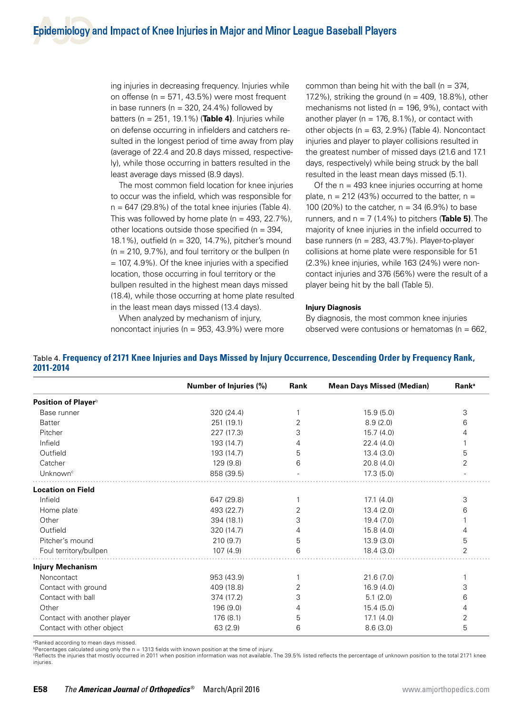ing injuries in decreasing frequency. Injuries while on offense ( $n = 571, 43.5\%$ ) were most frequent in base runners ( $n = 320$ , 24.4%) followed by batters (n = 251, 19.1%) (**Table 4)**. Injuries while on defense occurring in infielders and catchers resulted in the longest period of time away from play (average of 22.4 and 20.8 days missed, respectively), while those occurring in batters resulted in the least average days missed (8.9 days).

The most common field location for knee injuries to occur was the infield, which was responsible for  $n = 647$  (29.8%) of the total knee injuries (Table 4). This was followed by home plate ( $n = 493, 22.7\%$ ), other locations outside those specified ( $n = 394$ , 18.1%), outfield (n = 320, 14.7%), pitcher's mound  $(n = 210, 9.7\%)$ , and foul territory or the bullpen (n = 107, 4.9%). Of the knee injuries with a specified location, those occurring in foul territory or the bullpen resulted in the highest mean days missed (18.4), while those occurring at home plate resulted in the least mean days missed (13.4 days).

common than being hit with the ball ( $n = 374$ , 17.2%), striking the ground (n = 409, 18.8%), other mechanisms not listed ( $n = 196, 9\%$ ), contact with another player ( $n = 176, 8.1\%$ ), or contact with other objects ( $n = 63$ , 2.9%) (Table 4). Noncontact injuries and player to player collisions resulted in the greatest number of missed days (21.6 and 17.1 days, respectively) while being struck by the ball resulted in the least mean days missed (5.1).

Of the  $n = 493$  knee injuries occurring at home plate,  $n = 212$  (43%) occurred to the batter,  $n =$ 100 (20%) to the catcher, n = 34 (6.9%) to base runners, and  $n = 7$  (1.4%) to pitchers (**Table 5)**. The majority of knee injuries in the infield occurred to base runners ( $n = 283, 43.7\%$ ). Player-to-player collisions at home plate were responsible for 51 (2.3%) knee injuries, while 163 (24%) were noncontact injuries and 376 (56%) were the result of a player being hit by the ball (Table 5).

#### **Injury Diagnosis**

By diagnosis, the most common knee injuries observed were contusions or hematomas ( $n = 662$ ,

| When analyzed by mechanism of injury,              |
|----------------------------------------------------|
| noncontact injuries ( $n = 953$ , 43.9%) were more |

|                             | Number of Injuries (%) | Rank | <b>Mean Days Missed (Median)</b> | <b>Rank</b> <sup>a</sup> |
|-----------------------------|------------------------|------|----------------------------------|--------------------------|
| Position of Playerb         |                        |      |                                  |                          |
| Base runner                 | 320 (24.4)             |      | 15.9(5.0)                        | 3                        |
| <b>Batter</b>               | 251 (19.1)             | 2    | 8.9(2.0)                         | 6                        |
| Pitcher                     | 227 (17.3)             | 3    | 15.7(4.0)                        | 4                        |
| Infield                     | 193 (14.7)             | 4    | 22.4(4.0)                        |                          |
| Outfield                    | 193 (14.7)             | 5    | 13.4(3.0)                        | 5                        |
| Catcher                     | 129(9.8)               | 6    | 20.8(4.0)                        | 2                        |
| Unknown <sup>c</sup>        | 858 (39.5)             |      | 17.3(5.0)                        |                          |
| <b>Location on Field</b>    |                        |      |                                  |                          |
| Infield                     | 647 (29.8)             |      | 17.1(4.0)                        | 3                        |
| Home plate                  | 493 (22.7)             | 2    | 13.4(2.0)                        | 6                        |
| Other                       | 394 (18.1)             | 3    | 19.4 (7.0)                       |                          |
| Outfield                    | 320 (14.7)             | 4    | 15.8(4.0)                        | 4                        |
| Pitcher's mound             | 210(9.7)               | 5    | 13.9(3.0)                        | 5                        |
| Foul territory/bullpen      | 107(4.9)               | 6    | 18.4(3.0)                        | 2                        |
| <b>Injury Mechanism</b>     |                        |      |                                  |                          |
| Noncontact                  | 953 (43.9)             |      | 21.6(7.0)                        |                          |
| Contact with ground         | 409 (18.8)             | 2    | 16.9(4.0)                        | 3                        |
| Contact with ball           | 374 (17.2)             | 3    | 5.1(2.0)                         | 6                        |
| Other                       | 196 (9.0)              | 4    | 15.4(5.0)                        | 4                        |
| Contact with another player | 176 (8.1)              | 5    | 17.1(4.0)                        | 2                        |
| Contact with other object   | 63(2.9)                | 6    | 8.6(3.0)                         | 5                        |

Table 4. **Frequency of 2171 Knee Injuries and Days Missed by Injury Occurrence, Descending Order by Frequency Rank,** 

a Ranked according to mean days missed.

**2011-2014**

**PPercentages calculated using only the n = 1313 fields with known position at the time of injury.** 

c Reflects the injuries that mostly occurred in 2011 when position information was not available. The 39.5% listed reflects the percentage of unknown position to the total 2171 knee injuries.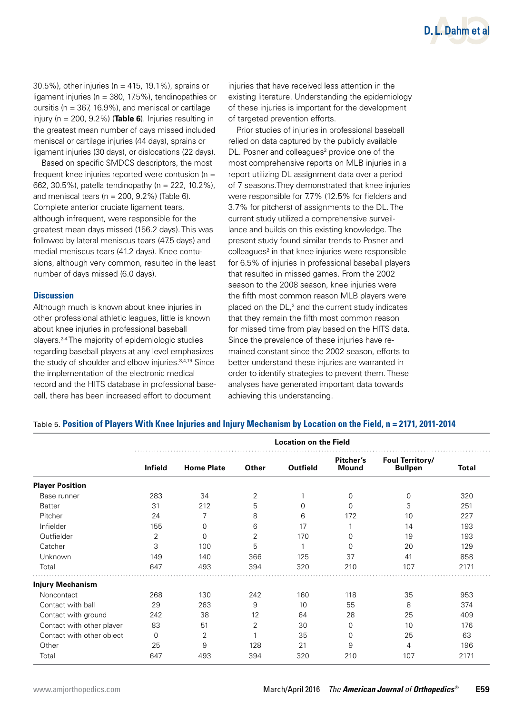

30.5%), other injuries (n = 415, 19.1%), sprains or ligament injuries (n = 380, 17.5%), tendinopathies or bursitis ( $n = 367, 16.9\%$ ), and meniscal or cartilage injury (n = 200, 9.2%) (**Table 6**). Injuries resulting in the greatest mean number of days missed included meniscal or cartilage injuries (44 days), sprains or ligament injuries (30 days), or dislocations (22 days).

Based on specific SMDCS descriptors, the most frequent knee injuries reported were contusion ( $n =$ 662, 30.5%), patella tendinopathy (n = 222, 10.2%), and meniscal tears ( $n = 200$ ,  $9.2\%$ ) (Table 6). Complete anterior cruciate ligament tears, although infrequent, were responsible for the greatest mean days missed (156.2 days). This was followed by lateral meniscus tears (47.5 days) and medial meniscus tears (41.2 days). Knee contusions, although very common, resulted in the least number of days missed (6.0 days).

# **Discussion**

Although much is known about knee injuries in other professional athletic leagues, little is known about knee injuries in professional baseball players.2-4 The majority of epidemiologic studies regarding baseball players at any level emphasizes the study of shoulder and elbow injuries.<sup>3,4,19</sup> Since the implementation of the electronic medical record and the HITS database in professional baseball, there has been increased effort to document

injuries that have received less attention in the existing literature. Understanding the epidemiology of these injuries is important for the development of targeted prevention efforts.

Prior studies of injuries in professional baseball relied on data captured by the publicly available DL. Posner and colleagues<sup>2</sup> provide one of the most comprehensive reports on MLB injuries in a report utilizing DL assignment data over a period of 7 seasons.They demonstrated that knee injuries were responsible for 7.7% (12.5% for fielders and 3.7% for pitchers) of assignments to the DL. The current study utilized a comprehensive surveillance and builds on this existing knowledge. The present study found similar trends to Posner and colleagues<sup>2</sup> in that knee injuries were responsible for 6.5% of injuries in professional baseball players that resulted in missed games. From the 2002 season to the 2008 season, knee injuries were the fifth most common reason MLB players were placed on the  $DL<sub>1</sub><sup>2</sup>$  and the current study indicates that they remain the fifth most common reason for missed time from play based on the HITS data. Since the prevalence of these injuries have remained constant since the 2002 season, efforts to better understand these injuries are warranted in order to identify strategies to prevent them. These analyses have generated important data towards achieving this understanding.

### Table 5. **Position of Players With Knee Injuries and Injury Mechanism by Location on the Field, n = 2171, 2011-2014**

|                           | <b>Location on the Field</b> |                   |                |                |                           |                                   |       |
|---------------------------|------------------------------|-------------------|----------------|----------------|---------------------------|-----------------------------------|-------|
|                           | <b>Infield</b>               | <b>Home Plate</b> | Other          | Outfield       | Pitcher's<br><b>Mound</b> | Foul Territory/<br><b>Bullpen</b> | Total |
| <b>Player Position</b>    |                              |                   |                |                |                           |                                   |       |
| Base runner               | 283                          | 34                | $\overline{2}$ |                | $\Omega$                  | 0                                 | 320   |
| <b>Batter</b>             | 31                           | 212               | 5              | 0              | 0                         | 3                                 | 251   |
| Pitcher                   | 24                           | 7                 | 8              | 6              | 172                       | 10                                | 227   |
| Infielder                 | 155                          | 0                 | 6              | 17             |                           | 14                                | 193   |
| Outfielder                | 2                            | 0                 | $\overline{2}$ | 170            | $\Omega$                  | 19                                | 193   |
| Catcher                   | 3                            | 100               | 5              | $\overline{ }$ | $\Omega$                  | 20                                | 129   |
| Unknown                   | 149                          | 140               | 366            | 125            | 37                        | 41                                | 858   |
| Total                     | 647                          | 493               | 394            | 320            | 210                       | 107                               | 2171  |
| <b>Injury Mechanism</b>   |                              |                   |                |                |                           |                                   |       |
| Noncontact                | 268                          | 130               | 242            | 160            | 118                       | 35                                | 953   |
| Contact with ball         | 29                           | 263               | 9              | 10             | 55                        | 8                                 | 374   |
| Contact with ground       | 242                          | 38                | 12             | 64             | 28                        | 25                                | 409   |
| Contact with other player | 83                           | 51                | 2              | 30             | $\Omega$                  | 10                                | 176   |
| Contact with other object | 0                            | $\overline{2}$    |                | 35             | $\Omega$                  | 25                                | 63    |
| Other                     | 25                           | 9                 | 128            | 21             | 9                         | 4                                 | 196   |
| Total                     | 647                          | 493               | 394            | 320            | 210                       | 107                               | 2171  |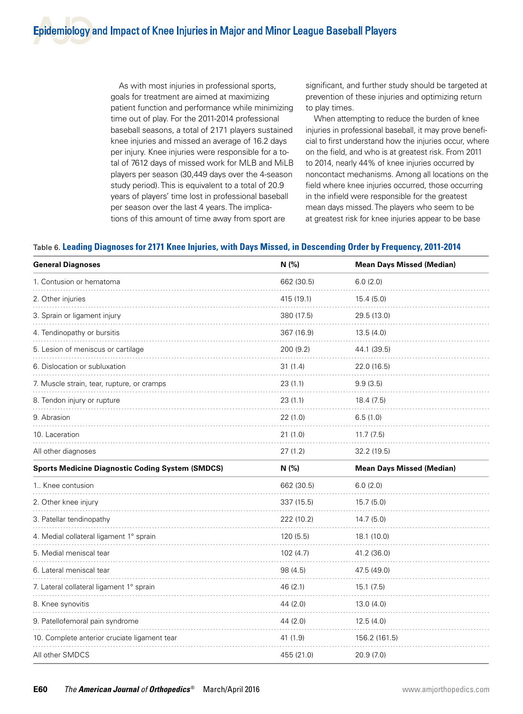As with most injuries in professional sports, goals for treatment are aimed at maximizing patient function and performance while minimizing time out of play. For the 2011-2014 professional baseball seasons, a total of 2171 players sustained knee injuries and missed an average of 16.2 days per injury. Knee injuries were responsible for a total of 7612 days of missed work for MLB and MiLB players per season (30,449 days over the 4-season study period). This is equivalent to a total of 20.9 years of players' time lost in professional baseball per season over the last 4 years. The implications of this amount of time away from sport are

significant, and further study should be targeted at prevention of these injuries and optimizing return to play times.

When attempting to reduce the burden of knee injuries in professional baseball, it may prove beneficial to first understand how the injuries occur, where on the field, and who is at greatest risk. From 2011 to 2014, nearly 44% of knee injuries occurred by noncontact mechanisms. Among all locations on the field where knee injuries occurred, those occurring in the infield were responsible for the greatest mean days missed. The players who seem to be at greatest risk for knee injuries appear to be base

# Table 6. **Leading Diagnoses for 2171 Knee Injuries, with Days Missed, in Descending Order by Frequency, 2011-2014**

| <b>General Diagnoses</b>                                | N(% )      | <b>Mean Days Missed (Median)</b> |
|---------------------------------------------------------|------------|----------------------------------|
| 1. Contusion or hematoma                                | 662 (30.5) | 6.0(2.0)                         |
| 2. Other injuries                                       | 415 (19.1) | 15.4(5.0)                        |
| 3. Sprain or ligament injury                            | 380 (17.5) | 29.5 (13.0)                      |
| 4. Tendinopathy or bursitis                             | 367 (16.9) | 13.5(4.0)                        |
| 5. Lesion of meniscus or cartilage                      | 200 (9.2)  | 44.1 (39.5)                      |
| 6. Dislocation or subluxation                           | 31(1.4)    | 22.0 (16.5)                      |
| 7. Muscle strain, tear, rupture, or cramps              | 23(1.1)    | 9.9(3.5)                         |
| 8. Tendon injury or rupture                             | 23(1.1)    | 18.4(7.5)                        |
| 9. Abrasion                                             | 22(1.0)    | 6.5(1.0)                         |
| 10. Laceration                                          | 21 (1.0)   | 11.7(7.5)                        |
| All other diagnoses                                     | 27(1.2)    | 32.2 (19.5)                      |
| <b>Sports Medicine Diagnostic Coding System (SMDCS)</b> | N(%        | <b>Mean Days Missed (Median)</b> |
| 1 Knee contusion                                        | 662 (30.5) | 6.0(2.0)                         |
| 2. Other knee injury                                    | 337 (15.5) | 15.7(5.0)                        |
| 3. Patellar tendinopathy                                | 222 (10.2) | 14.7(5.0)                        |
| 4. Medial collateral ligament 1° sprain                 | 120(5.5)   | 18.1 (10.0)                      |
| 5. Medial meniscal tear                                 | 102(4.7)   | 41.2 (36.0)                      |
| 6. Lateral meniscal tear                                | 98 (4.5)   | 47.5 (49.0)                      |
| 7. Lateral collateral ligament 1° sprain                | 46 (2.1)   | 15.1(7.5)                        |
| 8. Knee synovitis                                       | 44 (2.0)   | 13.0(4.0)                        |
| 9. Patellofemoral pain syndrome                         | 44 (2.0)   | 12.5(4.0)                        |
| 10. Complete anterior cruciate ligament tear            | 41 (1.9)   | 156.2 (161.5)                    |
| All other SMDCS                                         | 455 (21.0) | 20.9(7.0)                        |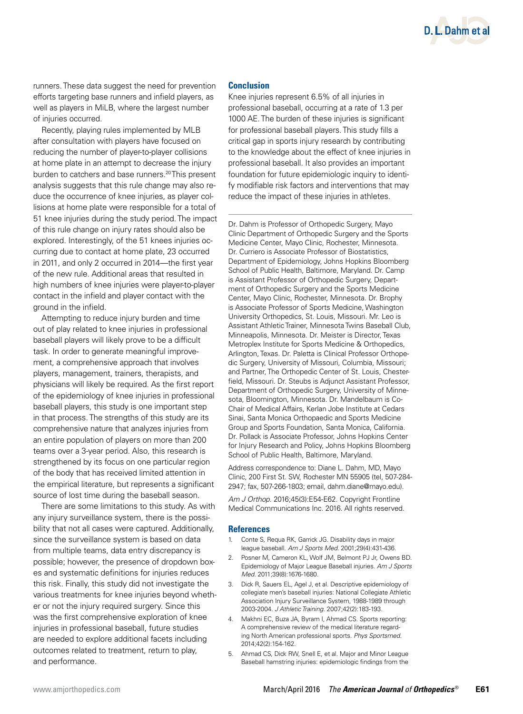

runners. These data suggest the need for prevention efforts targeting base runners and infield players, as well as players in MiLB, where the largest number of injuries occurred.

Recently, playing rules implemented by MLB after consultation with players have focused on reducing the number of player-to-player collisions at home plate in an attempt to decrease the injury burden to catchers and base runners.<sup>20</sup> This present analysis suggests that this rule change may also reduce the occurrence of knee injuries, as player collisions at home plate were responsible for a total of 51 knee injuries during the study period. The impact of this rule change on injury rates should also be explored. Interestingly, of the 51 knees injuries occurring due to contact at home plate, 23 occurred in 2011, and only 2 occurred in 2014—the first year of the new rule. Additional areas that resulted in high numbers of knee injuries were player-to-player contact in the infield and player contact with the ground in the infield.

Attempting to reduce injury burden and time out of play related to knee injuries in professional baseball players will likely prove to be a difficult task. In order to generate meaningful improvement, a comprehensive approach that involves players, management, trainers, therapists, and physicians will likely be required. As the first report of the epidemiology of knee injuries in professional baseball players, this study is one important step in that process. The strengths of this study are its comprehensive nature that analyzes injuries from an entire population of players on more than 200 teams over a 3-year period. Also, this research is strengthened by its focus on one particular region of the body that has received limited attention in the empirical literature, but represents a significant source of lost time during the baseball season.

There are some limitations to this study. As with any injury surveillance system, there is the possibility that not all cases were captured. Additionally, since the surveillance system is based on data from multiple teams, data entry discrepancy is possible; however, the presence of dropdown boxes and systematic definitions for injuries reduces this risk. Finally, this study did not investigate the various treatments for knee injuries beyond whether or not the injury required surgery. Since this was the first comprehensive exploration of knee injuries in professional baseball, future studies are needed to explore additional facets including outcomes related to treatment, return to play, and performance.

#### **Conclusion**

Knee injuries represent 6.5% of all injuries in professional baseball, occurring at a rate of 1.3 per 1000 AE. The burden of these injuries is significant for professional baseball players. This study fills a critical gap in sports injury research by contributing to the knowledge about the effect of knee injuries in professional baseball. It also provides an important foundation for future epidemiologic inquiry to identify modifiable risk factors and interventions that may reduce the impact of these injuries in athletes.

Dr. Dahm is Professor of Orthopedic Surgery, Mayo Clinic Department of Orthopedic Surgery and the Sports Medicine Center, Mayo Clinic, Rochester, Minnesota. Dr. Curriero is Associate Professor of Biostatistics, Department of Epidemiology, Johns Hopkins Bloomberg School of Public Health, Baltimore, Maryland. Dr. Camp is Assistant Professor of Orthopedic Surgery, Department of Orthopedic Surgery and the Sports Medicine Center, Mayo Clinic, Rochester, Minnesota. Dr. Brophy is Associate Professor of Sports Medicine, Washington University Orthopedics, St. Louis, Missouri. Mr. Leo is Assistant Athletic Trainer, Minnesota Twins Baseball Club, Minneapolis, Minnesota. Dr. Meister is Director, Texas Metroplex Institute for Sports Medicine & Orthopedics, Arlington, Texas. Dr. Paletta is Clinical Professor Orthopedic Surgery, University of Missouri, Columbia, Missouri; and Partner, The Orthopedic Center of St. Louis, Chesterfield, Missouri. Dr. Steubs is Adjunct Assistant Professor, Department of Orthopedic Surgery, University of Minnesota, Bloomington, Minnesota. Dr. Mandelbaum is Co-Chair of Medical Affairs, Kerlan Jobe Institute at Cedars Sinai, Santa Monica Orthopaedic and Sports Medicine Group and Sports Foundation, Santa Monica, California. Dr. Pollack is Associate Professor, Johns Hopkins Center for Injury Research and Policy, Johns Hopkins Bloomberg School of Public Health, Baltimore, Maryland.

Address correspondence to: Diane L. Dahm, MD, Mayo Clinic, 200 First St. SW, Rochester MN 55905 (tel, 507-284- 2947; fax, 507-266-1803; email, dahm.diane@mayo.edu).

*Am J Orthop.* 2016;45(3):E54-E62. Copyright Frontline Medical Communications Inc. 2016. All rights reserved.

#### **References**

- 1. Conte S, Requa RK, Garrick JG. Disability days in major league baseball. *Am J Sports Med.* 2001;29(4):431-436.
- 2. Posner M, Cameron KL, Wolf JM, Belmont PJ Jr, Owens BD. Epidemiology of Major League Baseball injuries. *Am J Sports Med.* 2011;39(8):1676-1680.
- 3. Dick R, Sauers EL, Agel J, et al. Descriptive epidemiology of collegiate men's baseball injuries: National Collegiate Athletic Association Injury Surveillance System, 1988-1989 through 2003-2004. *J Athletic Training.* 2007;42(2):183-193.
- 4. Makhni EC, Buza JA, Byram I, Ahmad CS. Sports reporting: A comprehensive review of the medical literature regarding North American professional sports. *Phys Sportsmed.*  2014;42(2):154-162.
- 5. Ahmad CS, Dick RW, Snell E, et al. Major and Minor League Baseball hamstring injuries: epidemiologic findings from the